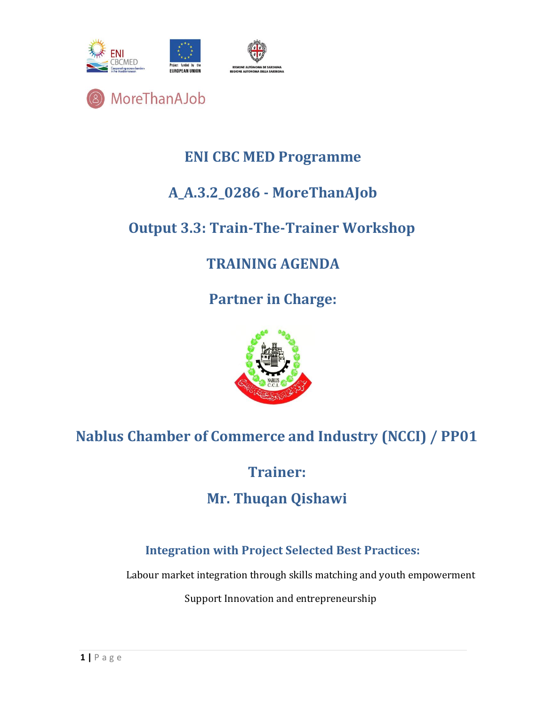



#### **ENI CBC MED Programme**

### **A\_A.3.2\_0286 - MoreThanAJob**

#### **Output 3.3: Train-The-Trainer Workshop**

## **TRAINING AGENDA**

**Partner in Charge:** 



# **Nablus Chamber of Commerce and Industry (NCCI) / PP01**

**Trainer:** 

#### **Mr. Thuqan Qishawi**

#### **Integration with Project Selected Best Practices:**

Labour market integration through skills matching and youth empowerment

Support Innovation and entrepreneurship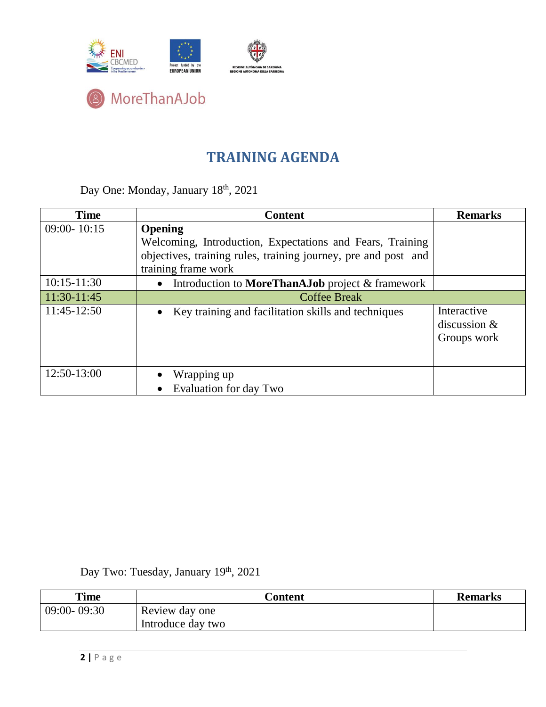

#### **TRAINING AGENDA**

Day One: Monday, January 18th, 2021

| <b>Time</b>     | <b>Content</b>                                                       | <b>Remarks</b>                               |
|-----------------|----------------------------------------------------------------------|----------------------------------------------|
| $09:00 - 10:15$ | <b>Opening</b>                                                       |                                              |
|                 | Welcoming, Introduction, Expectations and Fears, Training            |                                              |
|                 | objectives, training rules, training journey, pre and post and       |                                              |
|                 | training frame work                                                  |                                              |
| $10:15 - 11:30$ | Introduction to <b>MoreThanAJob</b> project & framework<br>$\bullet$ |                                              |
| 11:30-11:45     | <b>Coffee Break</b>                                                  |                                              |
| $11:45-12:50$   | Key training and facilitation skills and techniques                  | Interactive<br>discussion $&$<br>Groups work |
| 12:50-13:00     | Wrapping up                                                          |                                              |
|                 | Evaluation for day Two<br>$\bullet$                                  |                                              |

#### Day Two: Tuesday, January 19<sup>th</sup>, 2021

| <b>Time</b>     | Content           | <b>Remarks</b> |
|-----------------|-------------------|----------------|
| $09:00 - 09:30$ | Review day one    |                |
|                 | Introduce day two |                |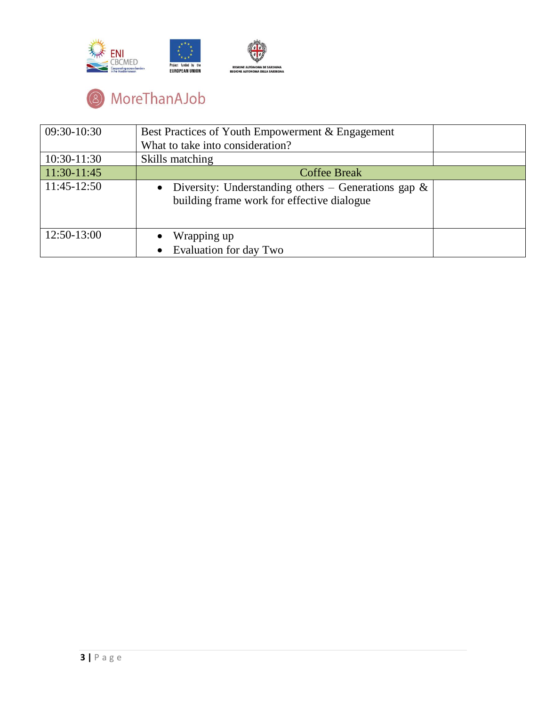

# <sup>8</sup> MoreThanAJob

| 09:30-10:30   | Best Practices of Youth Empowerment & Engagement                                                                  |
|---------------|-------------------------------------------------------------------------------------------------------------------|
|               | What to take into consideration?                                                                                  |
| $10:30-11:30$ | Skills matching                                                                                                   |
| 11:30-11:45   | <b>Coffee Break</b>                                                                                               |
| 11:45-12:50   | Diversity: Understanding others – Generations gap $\&$<br>$\bullet$<br>building frame work for effective dialogue |
| 12:50-13:00   | Wrapping up<br>Evaluation for day Two                                                                             |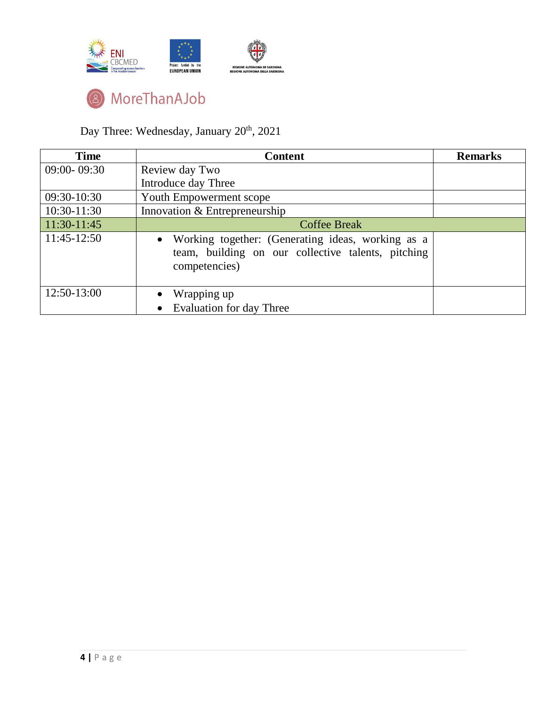



Day Three: Wednesday, January 20<sup>th</sup>, 2021

| <b>Time</b>     | <b>Content</b>                                                                                                                        | <b>Remarks</b> |
|-----------------|---------------------------------------------------------------------------------------------------------------------------------------|----------------|
| $09:00 - 09:30$ | Review day Two                                                                                                                        |                |
|                 | Introduce day Three                                                                                                                   |                |
| 09:30-10:30     | Youth Empowerment scope                                                                                                               |                |
| 10:30-11:30     | Innovation & Entrepreneurship                                                                                                         |                |
| 11:30-11:45     | <b>Coffee Break</b>                                                                                                                   |                |
| 11:45-12:50     | Working together: (Generating ideas, working as a<br>$\bullet$<br>team, building on our collective talents, pitching<br>competencies) |                |
| 12:50-13:00     | Wrapping up                                                                                                                           |                |
|                 | Evaluation for day Three                                                                                                              |                |